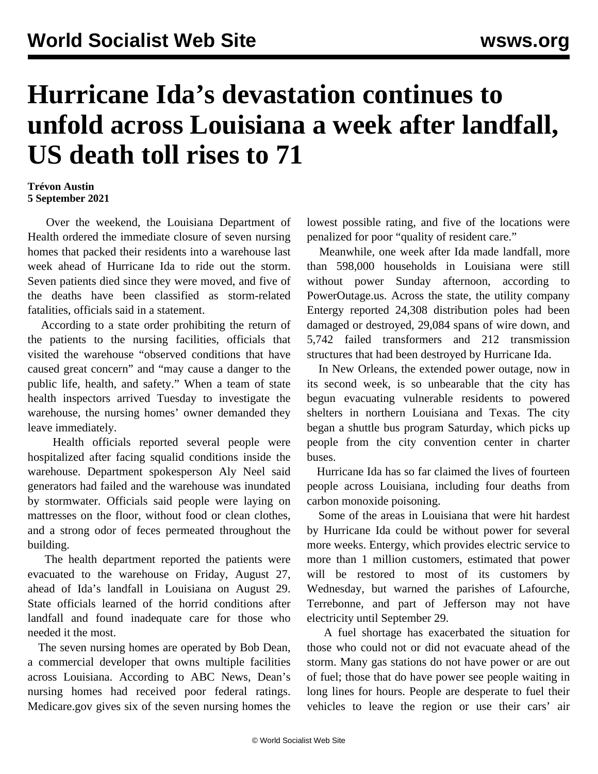## **Hurricane Ida's devastation continues to unfold across Louisiana a week after landfall, US death toll rises to 71**

## **Trévon Austin 5 September 2021**

 Over the weekend, the Louisiana Department of Health ordered the immediate closure of seven nursing homes that packed their residents into a warehouse last week ahead of Hurricane Ida to ride out the storm. Seven patients died since they were moved, and five of the deaths have been classified as storm-related fatalities, officials said in a statement.

 According to a state order prohibiting the return of the patients to the nursing facilities, officials that visited the warehouse "observed conditions that have caused great concern" and "may cause a danger to the public life, health, and safety." When a team of state health inspectors arrived Tuesday to investigate the warehouse, the nursing homes' owner demanded they leave immediately.

 Health officials reported several people were hospitalized after facing squalid conditions inside the warehouse. Department spokesperson Aly Neel said generators had failed and the warehouse was inundated by stormwater. Officials said people were laying on mattresses on the floor, without food or clean clothes, and a strong odor of feces permeated throughout the building.

 The health department reported the patients were evacuated to the warehouse on Friday, August 27, ahead of Ida's landfall in Louisiana on August 29. State officials learned of the horrid conditions after landfall and found inadequate care for those who needed it the most.

 The seven nursing homes are operated by Bob Dean, a commercial developer that owns multiple facilities across Louisiana. According to ABC News, Dean's nursing homes had received poor federal ratings. Medicare.gov gives six of the seven nursing homes the lowest possible rating, and five of the locations were penalized for poor "quality of resident care."

 Meanwhile, one week after Ida made landfall, more than 598,000 households in Louisiana were still without power Sunday afternoon, according to PowerOutage.us. Across the state, the utility company Entergy reported 24,308 distribution poles had been damaged or destroyed, 29,084 spans of wire down, and 5,742 failed transformers and 212 transmission structures that had been destroyed by Hurricane Ida.

 In New Orleans, the extended power outage, now in its second week, is so unbearable that the city has begun evacuating vulnerable residents to powered shelters in northern Louisiana and Texas. The city began a shuttle bus program Saturday, which picks up people from the city convention center in charter buses.

 Hurricane Ida has so far claimed the lives of fourteen people across Louisiana, including four deaths from carbon monoxide poisoning.

 Some of the areas in Louisiana that were hit hardest by Hurricane Ida could be without power for several more weeks. Entergy, which provides electric service to more than 1 million customers, estimated that power will be restored to most of its customers by Wednesday, but warned the parishes of Lafourche, Terrebonne, and part of Jefferson may not have electricity until September 29.

 A fuel shortage has exacerbated the situation for those who could not or did not evacuate ahead of the storm. Many gas stations do not have power or are out of fuel; those that do have power see people waiting in long lines for hours. People are desperate to fuel their vehicles to leave the region or use their cars' air